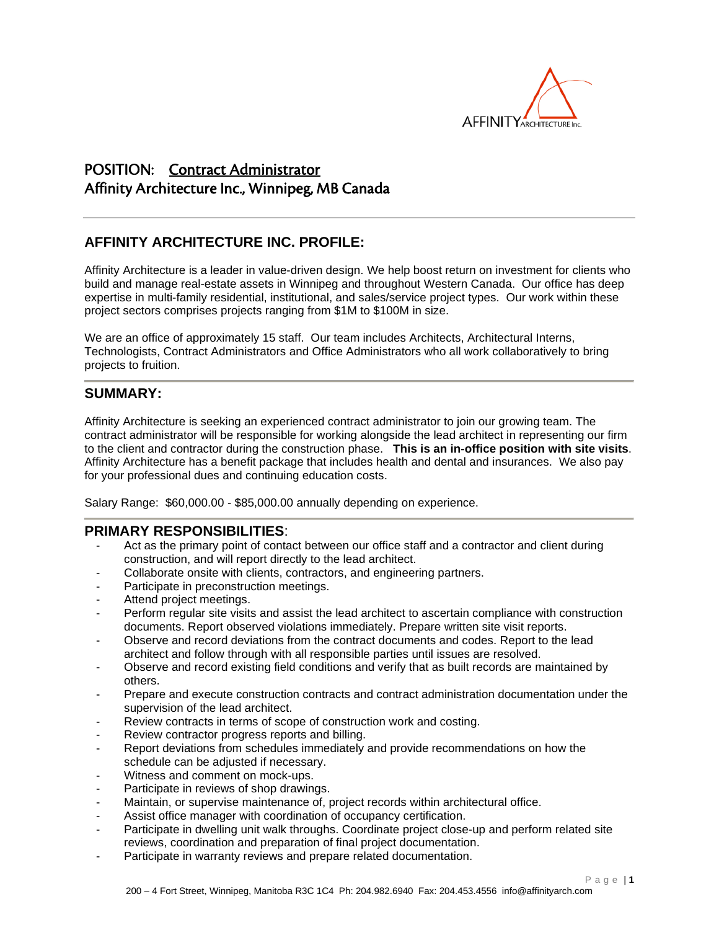

# POSITION: Contract Administrator Affinity Architecture Inc., Winnipeg, MB Canada

## **AFFINITY ARCHITECTURE INC. PROFILE:**

Affinity Architecture is a leader in value-driven design. We help boost return on investment for clients who build and manage real-estate assets in Winnipeg and throughout Western Canada. Our office has deep expertise in multi-family residential, institutional, and sales/service project types. Our work within these project sectors comprises projects ranging from \$1M to \$100M in size.

We are an office of approximately 15 staff. Our team includes Architects, Architectural Interns, Technologists, Contract Administrators and Office Administrators who all work collaboratively to bring projects to fruition.

### **SUMMARY:**

Affinity Architecture is seeking an experienced contract administrator to join our growing team. The contract administrator will be responsible for working alongside the lead architect in representing our firm to the client and contractor during the construction phase. **This is an in-office position with site visits**. Affinity Architecture has a benefit package that includes health and dental and insurances. We also pay for your professional dues and continuing education costs.

Salary Range: \$60,000.00 - \$85,000.00 annually depending on experience.

#### **PRIMARY RESPONSIBILITIES**:

- Act as the primary point of contact between our office staff and a contractor and client during construction, and will report directly to the lead architect.
- Collaborate onsite with clients, contractors, and engineering partners.
- Participate in preconstruction meetings.
- Attend project meetings.
- Perform regular site visits and assist the lead architect to ascertain compliance with construction documents. Report observed violations immediately. Prepare written site visit reports.
- Observe and record deviations from the contract documents and codes. Report to the lead architect and follow through with all responsible parties until issues are resolved.
- Observe and record existing field conditions and verify that as built records are maintained by others.
- Prepare and execute construction contracts and contract administration documentation under the supervision of the lead architect.
- Review contracts in terms of scope of construction work and costing.
- Review contractor progress reports and billing.
- Report deviations from schedules immediately and provide recommendations on how the schedule can be adjusted if necessary.
- Witness and comment on mock-ups.
- Participate in reviews of shop drawings.
- Maintain, or supervise maintenance of, project records within architectural office.
- Assist office manager with coordination of occupancy certification.
- Participate in dwelling unit walk throughs. Coordinate project close-up and perform related site reviews, coordination and preparation of final project documentation.
- Participate in warranty reviews and prepare related documentation.